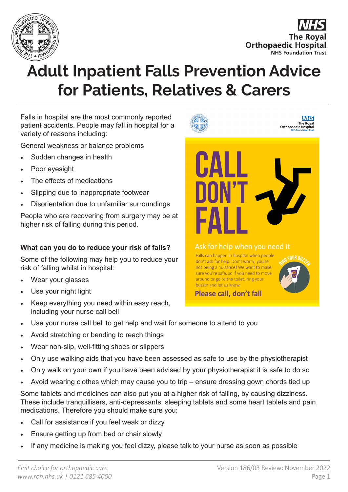

**The Roval Orthopaedic Hospital NHS Foundation Trust** 

# **Adult Inpatient Falls Prevention Advice for Patients, Relatives & Carers**

Falls in hospital are the most commonly reported patient accidents. People may fall in hospital for a variety of reasons including:

General weakness or balance problems

- Sudden changes in health
- Poor eyesight
- The effects of medications
- Slipping due to inappropriate footwear
- Disorientation due to unfamiliar surroundings

People who are recovering from surgery may be at higher risk of falling during this period.

#### **What can you do to reduce your risk of falls?**

Some of the following may help you to reduce your risk of falling whilst in hospital:

- Wear your glasses
- Use your night light
- Keep everything you need within easy reach, including your nurse call bell
- Use your nurse call bell to get help and wait for someone to attend to you
- Avoid stretching or bending to reach things
- Wear non-slip, well-fitting shoes or slippers
- Only use walking aids that you have been assessed as safe to use by the physiotherapist
- Only walk on your own if you have been advised by your physiotherapist it is safe to do so
- Avoid wearing clothes which may cause you to trip ensure dressing gown chords tied up

Some tablets and medicines can also put you at a higher risk of falling, by causing dizziness. These include tranquillisers, anti-depressants, sleeping tablets and some heart tablets and pain medications. Therefore you should make sure you:

- Call for assistance if you feel weak or dizzy
- Ensure getting up from bed or chair slowly
- If any medicine is making you feel dizzy, please talk to your nurse as soon as possible





buzzer and let us know.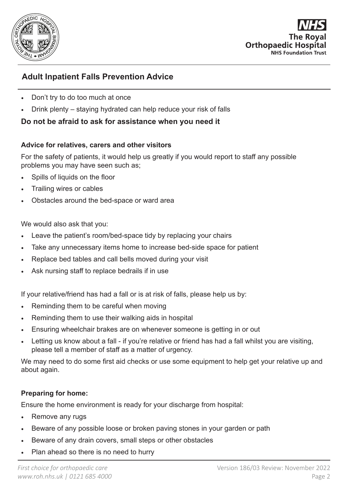

The Ro **Orthopaedic Hospital NHS Foundation Trust** 

## **Adult Inpatient Falls Prevention Advice**

- Don't try to do too much at once
- Drink plenty staying hydrated can help reduce your risk of falls

### **Do not be afraid to ask for assistance when you need it**

#### **Advice for relatives, carers and other visitors**

For the safety of patients, it would help us greatly if you would report to staff any possible problems you may have seen such as;

- Spills of liquids on the floor
- Trailing wires or cables
- Obstacles around the bed-space or ward area

We would also ask that you:

- Leave the patient's room/bed-space tidy by replacing your chairs
- Take any unnecessary items home to increase bed-side space for patient
- Replace bed tables and call bells moved during your visit
- Ask nursing staff to replace bedrails if in use

If your relative/friend has had a fall or is at risk of falls, please help us by:

- Reminding them to be careful when moving
- Reminding them to use their walking aids in hospital
- Ensuring wheelchair brakes are on whenever someone is getting in or out
- Letting us know about a fall if you're relative or friend has had a fall whilst you are visiting, please tell a member of staff as a matter of urgency.

We may need to do some first aid checks or use some equipment to help get your relative up and about again.

#### **Preparing for home:**

Ensure the home environment is ready for your discharge from hospital:

- Remove any rugs
- Beware of any possible loose or broken paving stones in your garden or path
- Beware of any drain covers, small steps or other obstacles
- Plan ahead so there is no need to hurry